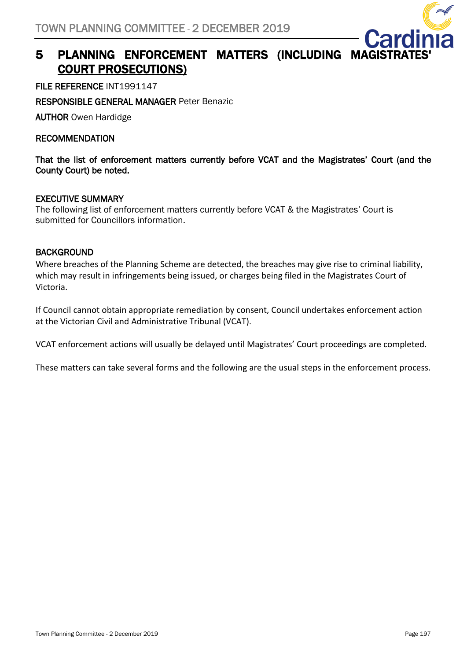

# 5 PLANNING ENFORCEMENT MATTERS (INCLUDING MAG COURT PROSECUTIONS)

FILE REFERENCE INT1991147

RESPONSIBLE GENERAL MANAGER Peter Benazic

AUTHOR Owen Hardidge

RECOMMENDATION

That the list of enforcement matters currently before VCAT and the Magistrates' Court (and the County Court) be noted.

#### EXECUTIVE SUMMARY

The following list of enforcement matters currently before VCAT & the Magistrates' Court is submitted for Councillors information.

#### BACKGROUND

Where breaches of the Planning Scheme are detected, the breaches may give rise to criminal liability, which may result in infringements being issued, or charges being filed in the Magistrates Court of Victoria.

If Council cannot obtain appropriate remediation by consent, Council undertakes enforcement action at the Victorian Civil and Administrative Tribunal (VCAT).

VCAT enforcement actions will usually be delayed until Magistrates' Court proceedings are completed.

These matters can take several forms and the following are the usual steps in the enforcement process.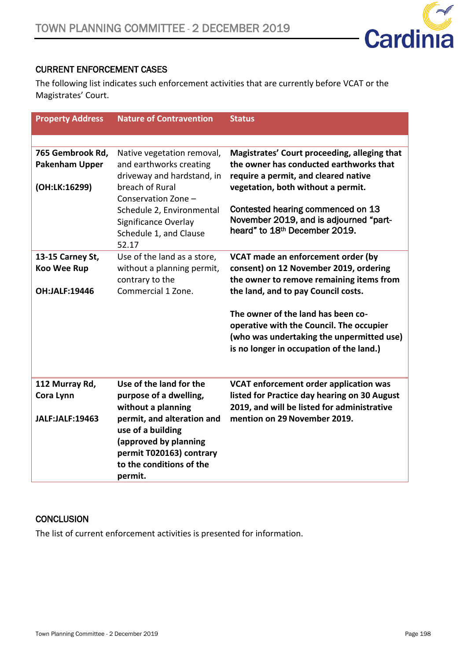

## CURRENT ENFORCEMENT CASES

The following list indicates such enforcement activities that are currently before VCAT or the Magistrates' Court.

| <b>Property Address</b>                   | <b>Nature of Contravention</b>                                                                                                              | <b>Status</b>                                                                                                                                                           |
|-------------------------------------------|---------------------------------------------------------------------------------------------------------------------------------------------|-------------------------------------------------------------------------------------------------------------------------------------------------------------------------|
|                                           |                                                                                                                                             |                                                                                                                                                                         |
| 765 Gembrook Rd,<br><b>Pakenham Upper</b> | Native vegetation removal,<br>and earthworks creating<br>driveway and hardstand, in                                                         | Magistrates' Court proceeding, alleging that<br>the owner has conducted earthworks that<br>require a permit, and cleared native                                         |
| (OH:LK:16299)                             | breach of Rural<br>Conservation Zone -                                                                                                      | vegetation, both without a permit.                                                                                                                                      |
|                                           | Schedule 2, Environmental<br>Significance Overlay<br>Schedule 1, and Clause<br>52.17                                                        | Contested hearing commenced on 13<br>November 2019, and is adjourned "part-<br>heard" to 18 <sup>th</sup> December 2019.                                                |
| 13-15 Carney St,<br><b>Koo Wee Rup</b>    | Use of the land as a store,<br>without a planning permit,                                                                                   | VCAT made an enforcement order (by<br>consent) on 12 November 2019, ordering                                                                                            |
| OH:JALF:19446                             | contrary to the<br>Commercial 1 Zone.                                                                                                       | the owner to remove remaining items from<br>the land, and to pay Council costs.                                                                                         |
|                                           |                                                                                                                                             | The owner of the land has been co-<br>operative with the Council. The occupier<br>(who was undertaking the unpermitted use)<br>is no longer in occupation of the land.) |
| 112 Murray Rd,<br>Cora Lynn               | Use of the land for the<br>purpose of a dwelling,<br>without a planning                                                                     | VCAT enforcement order application was<br>listed for Practice day hearing on 30 August<br>2019, and will be listed for administrative                                   |
| <b>JALF:JALF:19463</b>                    | permit, and alteration and<br>use of a building<br>(approved by planning<br>permit T020163) contrary<br>to the conditions of the<br>permit. | mention on 29 November 2019.                                                                                                                                            |

#### **CONCLUSION**

The list of current enforcement activities is presented for information.